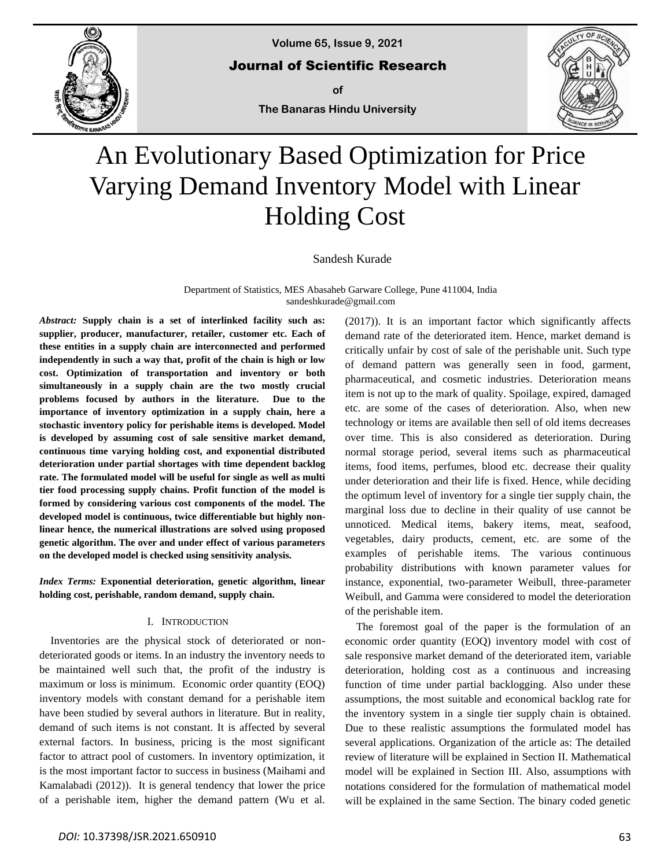

**Volume 65, Issue 9, 2021**

Journal of Scientific Research

**of The Banaras Hindu University**



# An Evolutionary Based Optimization for Price Varying Demand Inventory Model with Linear Holding Cost

Sandesh Kurade

Department of Statistics, MES Abasaheb Garware College, Pune 411004, India sandeshkurade@gmail.com

*Abstract:* **Supply chain is a set of interlinked facility such as: supplier, producer, manufacturer, retailer, customer etc. Each of these entities in a supply chain are interconnected and performed independently in such a way that, profit of the chain is high or low cost. Optimization of transportation and inventory or both simultaneously in a supply chain are the two mostly crucial problems focused by authors in the literature. Due to the importance of inventory optimization in a supply chain, here a stochastic inventory policy for perishable items is developed. Model is developed by assuming cost of sale sensitive market demand, continuous time varying holding cost, and exponential distributed deterioration under partial shortages with time dependent backlog rate. The formulated model will be useful for single as well as multi tier food processing supply chains. Profit function of the model is formed by considering various cost components of the model. The developed model is continuous, twice differentiable but highly nonlinear hence, the numerical illustrations are solved using proposed genetic algorithm. The over and under effect of various parameters on the developed model is checked using sensitivity analysis.**

*Index Terms:* **Exponential deterioration, genetic algorithm, linear holding cost, perishable, random demand, supply chain.**

# I. INTRODUCTION

Inventories are the physical stock of deteriorated or nondeteriorated goods or items. In an industry the inventory needs to be maintained well such that, the profit of the industry is maximum or loss is minimum. Economic order quantity (EOQ) inventory models with constant demand for a perishable item have been studied by several authors in literature. But in reality, demand of such items is not constant. It is affected by several external factors. In business, pricing is the most significant factor to attract pool of customers. In inventory optimization, it is the most important factor to success in business (Maihami and Kamalabadi (2012)). It is general tendency that lower the price of a perishable item, higher the demand pattern (Wu et al.

(2017)). It is an important factor which significantly affects demand rate of the deteriorated item. Hence, market demand is critically unfair by cost of sale of the perishable unit. Such type of demand pattern was generally seen in food, garment, pharmaceutical, and cosmetic industries. Deterioration means item is not up to the mark of quality. Spoilage, expired, damaged etc. are some of the cases of deterioration. Also, when new technology or items are available then sell of old items decreases over time. This is also considered as deterioration. During normal storage period, several items such as pharmaceutical items, food items, perfumes, blood etc. decrease their quality under deterioration and their life is fixed. Hence, while deciding the optimum level of inventory for a single tier supply chain, the marginal loss due to decline in their quality of use cannot be unnoticed. Medical items, bakery items, meat, seafood, vegetables, dairy products, cement, etc. are some of the examples of perishable items. The various continuous probability distributions with known parameter values for instance, exponential, two-parameter Weibull, three-parameter Weibull, and Gamma were considered to model the deterioration of the perishable item.

The foremost goal of the paper is the formulation of an economic order quantity (EOQ) inventory model with cost of sale responsive market demand of the deteriorated item, variable deterioration, holding cost as a continuous and increasing function of time under partial backlogging. Also under these assumptions, the most suitable and economical backlog rate for the inventory system in a single tier supply chain is obtained. Due to these realistic assumptions the formulated model has several applications. Organization of the article as: The detailed review of literature will be explained in Section II. Mathematical model will be explained in Section III. Also, assumptions with notations considered for the formulation of mathematical model will be explained in the same Section. The binary coded genetic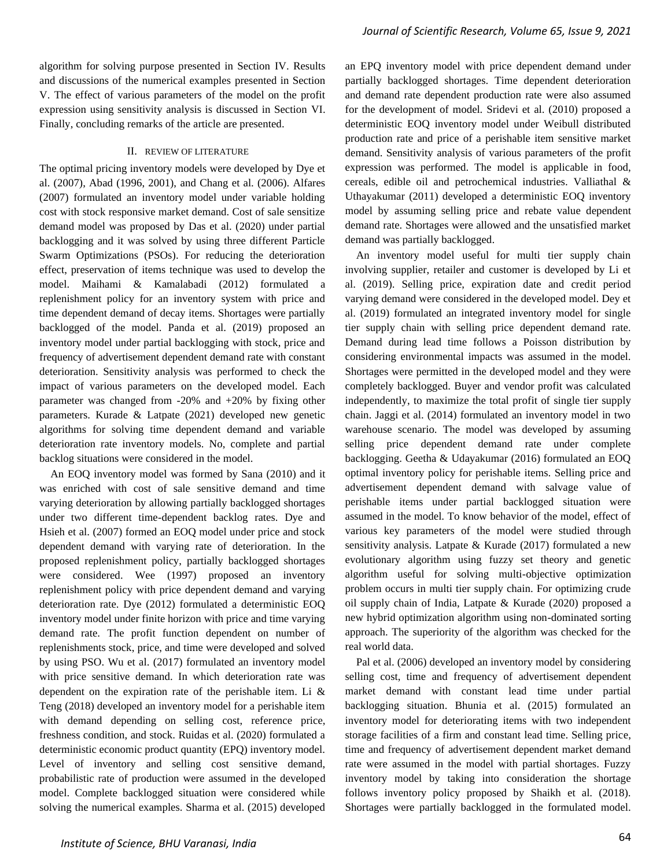algorithm for solving purpose presented in Section IV. Results and discussions of the numerical examples presented in Section V. The effect of various parameters of the model on the profit expression using sensitivity analysis is discussed in Section VI. Finally, concluding remarks of the article are presented.

# II. REVIEW OF LITERATURE

The optimal pricing inventory models were developed by Dye et al. (2007), Abad (1996, 2001), and Chang et al. (2006). Alfares (2007) formulated an inventory model under variable holding cost with stock responsive market demand. Cost of sale sensitize demand model was proposed by Das et al. (2020) under partial backlogging and it was solved by using three different Particle Swarm Optimizations (PSOs). For reducing the deterioration effect, preservation of items technique was used to develop the model. Maihami & Kamalabadi (2012) formulated a replenishment policy for an inventory system with price and time dependent demand of decay items. Shortages were partially backlogged of the model. Panda et al. (2019) proposed an inventory model under partial backlogging with stock, price and frequency of advertisement dependent demand rate with constant deterioration. Sensitivity analysis was performed to check the impact of various parameters on the developed model. Each parameter was changed from -20% and +20% by fixing other parameters. Kurade & Latpate (2021) developed new genetic algorithms for solving time dependent demand and variable deterioration rate inventory models. No, complete and partial backlog situations were considered in the model.

An EOQ inventory model was formed by Sana (2010) and it was enriched with cost of sale sensitive demand and time varying deterioration by allowing partially backlogged shortages under two different time-dependent backlog rates. Dye and Hsieh et al. (2007) formed an EOQ model under price and stock dependent demand with varying rate of deterioration. In the proposed replenishment policy, partially backlogged shortages were considered. Wee (1997) proposed an inventory replenishment policy with price dependent demand and varying deterioration rate. Dye (2012) formulated a deterministic EOQ inventory model under finite horizon with price and time varying demand rate. The profit function dependent on number of replenishments stock, price, and time were developed and solved by using PSO. Wu et al. (2017) formulated an inventory model with price sensitive demand. In which deterioration rate was dependent on the expiration rate of the perishable item. Li & Teng (2018) developed an inventory model for a perishable item with demand depending on selling cost, reference price, freshness condition, and stock. Ruidas et al. (2020) formulated a deterministic economic product quantity (EPQ) inventory model. Level of inventory and selling cost sensitive demand, probabilistic rate of production were assumed in the developed model. Complete backlogged situation were considered while solving the numerical examples. Sharma et al. (2015) developed an EPQ inventory model with price dependent demand under partially backlogged shortages. Time dependent deterioration and demand rate dependent production rate were also assumed for the development of model. Sridevi et al. (2010) proposed a deterministic EOQ inventory model under Weibull distributed production rate and price of a perishable item sensitive market demand. Sensitivity analysis of various parameters of the profit expression was performed. The model is applicable in food, cereals, edible oil and petrochemical industries. Valliathal & Uthayakumar (2011) developed a deterministic EOQ inventory model by assuming selling price and rebate value dependent demand rate. Shortages were allowed and the unsatisfied market demand was partially backlogged.

An inventory model useful for multi tier supply chain involving supplier, retailer and customer is developed by Li et al. (2019). Selling price, expiration date and credit period varying demand were considered in the developed model. Dey et al. (2019) formulated an integrated inventory model for single tier supply chain with selling price dependent demand rate. Demand during lead time follows a Poisson distribution by considering environmental impacts was assumed in the model. Shortages were permitted in the developed model and they were completely backlogged. Buyer and vendor profit was calculated independently, to maximize the total profit of single tier supply chain. Jaggi et al. (2014) formulated an inventory model in two warehouse scenario. The model was developed by assuming selling price dependent demand rate under complete backlogging. Geetha & Udayakumar (2016) formulated an EOQ optimal inventory policy for perishable items. Selling price and advertisement dependent demand with salvage value of perishable items under partial backlogged situation were assumed in the model. To know behavior of the model, effect of various key parameters of the model were studied through sensitivity analysis. Latpate & Kurade (2017) formulated a new evolutionary algorithm using fuzzy set theory and genetic algorithm useful for solving multi-objective optimization problem occurs in multi tier supply chain. For optimizing crude oil supply chain of India, Latpate & Kurade (2020) proposed a new hybrid optimization algorithm using non-dominated sorting approach. The superiority of the algorithm was checked for the real world data.

Pal et al. (2006) developed an inventory model by considering selling cost, time and frequency of advertisement dependent market demand with constant lead time under partial backlogging situation. Bhunia et al. (2015) formulated an inventory model for deteriorating items with two independent storage facilities of a firm and constant lead time. Selling price, time and frequency of advertisement dependent market demand rate were assumed in the model with partial shortages. Fuzzy inventory model by taking into consideration the shortage follows inventory policy proposed by Shaikh et al. (2018). Shortages were partially backlogged in the formulated model.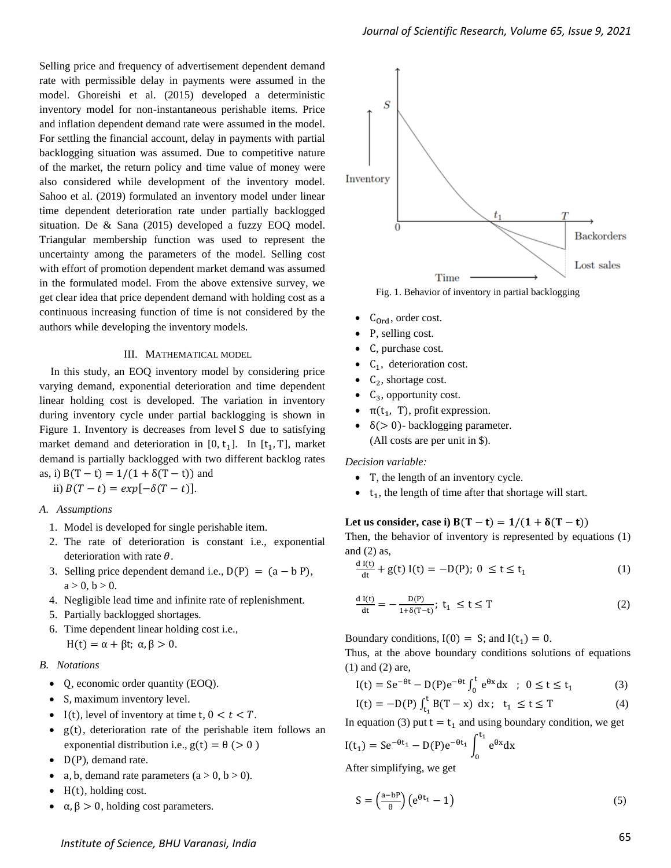Selling price and frequency of advertisement dependent demand rate with permissible delay in payments were assumed in the model. Ghoreishi et al. (2015) developed a deterministic inventory model for non-instantaneous perishable items. Price and inflation dependent demand rate were assumed in the model. For settling the financial account, delay in payments with partial backlogging situation was assumed. Due to competitive nature of the market, the return policy and time value of money were also considered while development of the inventory model. Sahoo et al. (2019) formulated an inventory model under linear time dependent deterioration rate under partially backlogged situation. De & Sana (2015) developed a fuzzy EOQ model. Triangular membership function was used to represent the uncertainty among the parameters of the model. Selling cost with effort of promotion dependent market demand was assumed in the formulated model. From the above extensive survey, we get clear idea that price dependent demand with holding cost as a continuous increasing function of time is not considered by the authors while developing the inventory models.

#### III. MATHEMATICAL MODEL

In this study, an EOQ inventory model by considering price varying demand, exponential deterioration and time dependent linear holding cost is developed. The variation in inventory during inventory cycle under partial backlogging is shown in Figure 1. Inventory is decreases from level S due to satisfying market demand and deterioration in  $[0, t_1]$ . In  $[t_1, T]$ , market demand is partially backlogged with two different backlog rates as, i)  $B(T - t) = 1/(1 + \delta(T - t))$  and

ii)  $B(T - t) = exp[-\delta(T - t)].$ 

#### *A. Assumptions*

- 1. Model is developed for single perishable item.
- 2. The rate of deterioration is constant i.e., exponential deterioration with rate  $\theta$ .
- 3. Selling price dependent demand i.e.,  $D(P) = (a b P)$ ,  $a > 0, b > 0.$
- 4. Negligible lead time and infinite rate of replenishment.
- 5. Partially backlogged shortages.
- 6. Time dependent linear holding cost i.e., H(t) =  $\alpha + \beta t$ ;  $\alpha, \beta > 0$ .

## *B. Notations*

- Q, economic order quantity (EOQ).
- S, maximum inventory level.
- I(t), level of inventory at time t,  $0 < t < T$ .
- g(t), deterioration rate of the perishable item follows an exponential distribution i.e.,  $g(t) = \theta$  (> 0)
- D(P), demand rate.
- a, b, demand rate parameters  $(a > 0, b > 0)$ .
- $\bullet$  H(t), holding cost.
- $\alpha, \beta > 0$ , holding cost parameters.



- $\bullet$  C<sub>Ord</sub>, order cost.
- P, selling cost.
- C, purchase cost.
- $\bullet$  C<sub>1</sub>, deterioration cost.
- $C_2$ , shortage cost.
- $\bullet$  C<sub>3</sub>, opportunity cost.
- $\bullet$   $\pi(t_1, T)$ , profit expression.
- $\delta$ (> 0) backlogging parameter. (All costs are per unit in \$).

*Decision variable:*

- T, the length of an inventory cycle.
- $\bullet$   $t_1$ , the length of time after that shortage will start.

# Let us consider, case i)  $B(T - t) = 1/(1 + \delta(T - t))$

Then, the behavior of inventory is represented by equations (1) and  $(2)$  as,

$$
\frac{d I(t)}{dt} + g(t) I(t) = -D(P); 0 \le t \le t_1
$$
 (1)

$$
\frac{d I(t)}{dt} = -\frac{D(P)}{1 + \delta(T - t)}; \ t_1 \le t \le T
$$
 (2)

Boundary conditions,  $I(0) = S$ ; and  $I(t_1) = 0$ .

Thus, at the above boundary conditions solutions of equations (1) and (2) are,

$$
I(t) = Se^{-\theta t} - D(P)e^{-\theta t} \int_0^t e^{\theta x} dx \; ; \; 0 \le t \le t_1
$$
 (3)

$$
I(t) = -D(P) \int_{t_1}^{t} B(T - x) \, dx; \quad t_1 \le t \le T \tag{4}
$$

In equation (3) put  $t = t_1$  and using boundary condition, we get

$$
I(t_1) = Se^{-\theta t_1} - D(P)e^{-\theta t_1} \int_0^{t_1} e^{\theta x} dx
$$

After simplifying, we get

$$
S = \left(\frac{a - bP}{\theta}\right) \left(e^{\theta t_1} - 1\right) \tag{5}
$$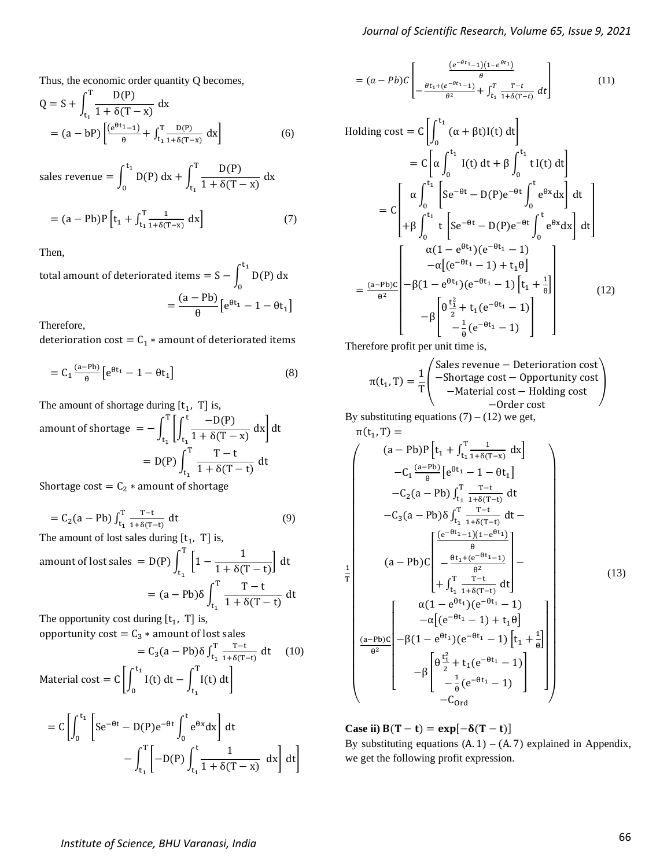Thus, the economic order quantity Q becomes,

$$
Q = S + \int_{t_1}^{T} \frac{D(P)}{1 + \delta(T - x)} dx
$$
  
=  $(a - bP) \left[ \frac{(e^{\theta t_1} - 1)}{\theta} + \int_{t_1}^{T} \frac{D(P)}{1 + \delta(T - x)} dx \right]$  (6)

sales revenue =  $\int$  D(P) dx  $t_1$ 0  $+\int_{0}^{T} \frac{D(P)}{1+\frac{S(T)}{P(T)}}$  $\frac{1+ \delta(T-x)}{1+\delta(T-x)} dx$ T  $t_1$ 

$$
= (a - Pb)P[t1 + \int_{t_1}^{T} \frac{1}{1 + \delta(T - x)} dx]
$$
 (7)

Then,

total amount of deteriorated items =  $S - \int D(P) dx$  $t_1$ 0  $=\frac{(a - Pb)}{2}$  $\frac{16}{\theta} \left[ e^{\theta t_1} - 1 - \theta t_1 \right]$ 

Therefore,

deterioration cost =  $C_1$  \* amount of deteriorated items

$$
= C_1 \frac{(a - Pb)}{\theta} \left[ e^{\theta t_1} - 1 - \theta t_1 \right]
$$
 (8)

The amount of shortage during  $[t_1, T]$  is,

amount of shortage 
$$
= -\int_{t_1}^{T} \left[ \int_{t_1}^{t} \frac{-D(P)}{1 + \delta(T - x)} dx \right] dt
$$
  

$$
= D(P) \int_{t_1}^{T} \frac{T - t}{1 + \delta(T - t)} dt
$$

Shortage cost =  $C_2$   $*$  amount of shortage

$$
= C_2(a - Pb) \int_{t_1}^{T} \frac{T - t}{1 + \delta(T - t)} dt
$$
 (9)

The amount of lost sales during  $[t_1, T]$  is,

amount of lost sales = D(P) 
$$
\int_{t_1}^{T} \left[ 1 - \frac{1}{1 + \delta(T - t)} \right] dt
$$

$$
= (a - Pb)\delta \int_{t_1}^{T} \frac{T - t}{1 + \delta(T - t)} dt
$$

The opportunity cost during  $[t_1, T]$  is, opportunity cost  $= C_3 *$  amount of lost sales

Appot unity 
$$
\csc = C_3 * \text{ amount of lost sales}
$$

\n
$$
= C_3(a - Pb) \delta \int_{t_1}^{T} \frac{T - t}{1 + \delta(T - t)} dt \quad (10)
$$
\nMaterial cost =  $C \left[ \int_{0}^{t_1} I(t) dt - \int_{t_1}^{T} I(t) dt \right]$ 

$$
= C \left[ \int_0^{t_1} \left[ Se^{-\theta t} - D(P)e^{-\theta t} \int_0^t e^{\theta x} dx \right] dt - \int_{t_1}^T \left[ -D(P) \int_{t_1}^t \frac{1}{1 + \delta(T - x)} dx \right] dt \right]
$$

$$
= (a - Pb)C \left[ -\frac{\frac{(e^{-\theta t_1} - 1)(1 - e^{\theta t_1})}{\theta}}{\frac{\theta t_1 + (e^{-\theta t_1} - 1)}{\theta^2} + \int_{t_1}^T \frac{T - t}{1 + \delta(T - t)}} dt \right]
$$
(11)

Holding cost = 
$$
C\left[\int_0^{t_1} (\alpha + \beta t)I(t) dt\right]
$$
  
\n=  $C\left[\alpha \int_0^{t_1} I(t) dt + \beta \int_0^{t_1} t I(t) dt\right]$   
\n=  $C\left[\alpha \int_0^{t_1} \left[Se^{-\theta t} - D(P)e^{-\theta t} \int_0^t e^{\theta x} dx\right] dt\right]$   
\n+  $\beta \int_0^{t_1} t \left[Se^{-\theta t} - D(P)e^{-\theta t} \int_0^t e^{\theta x} dx\right] dt$   
\n=  $\frac{\alpha(1 - e^{\theta t_1})(e^{-\theta t_1} - 1)}{-\alpha[(e^{-\theta t_1} - 1) + t_1\theta]}$   
\n=  $\frac{(a - Pb)c}{\theta^2} \left[-\beta(1 - e^{\theta t_1})(e^{-\theta t_1} - 1)\left[t_1 + \frac{1}{\theta}\right] - \beta\left[\frac{\theta^{\frac{t_2}{2}} + t_1(e^{-\theta t_1} - 1)}{-\frac{1}{\theta}(e^{-\theta t_1} - 1)}\right]\right]$  (12)

Therefore profit per unit time is,

$$
\pi(t_1, T) = \frac{1}{T} \begin{pmatrix} Sales revenue - Detection cost \\ -Shortage cost - Opportunity cost \\ -Material cost - Holding cost \\ -Order cost \end{pmatrix}
$$

By substituting equations  $(7) - (12)$  we get,

$$
\pi(t_1, T) =
$$
\n
$$
(a - Pb)P[t_1 + \int_{t_1}^{T} \frac{1}{1 + \delta(T - x)} dx]
$$
\n
$$
-C_1 \frac{(a - Pb)}{\theta} [e^{\theta t_1} - 1 - \theta t_1]
$$
\n
$$
-C_2 (a - Pb) \int_{t_1}^{T} \frac{T - t}{1 + \delta(T - t)} dt
$$
\n
$$
-C_3 (a - Pb) \delta \int_{t_1}^{T} \frac{T - t}{1 + \delta(T - t)} dt -
$$
\n
$$
(a - Pb)C \begin{bmatrix} \frac{(e^{-\theta t_1} - 1)(1 - e^{\theta t_1})}{\theta} \\ \frac{\theta}{1 + \int_{t_1}^{T} \frac{T - t}{1 + \delta(T - t)} dt \\ \frac{\gamma T - t}{\theta^2} \\ \frac{\gamma T - t}{\theta^2} \end{bmatrix} -
$$
\n
$$
\pi(1 - e^{\theta t_1})(e^{-\theta t_1} - 1)
$$
\n
$$
- \alpha[(e^{-\theta t_1} - 1) + t_1 \theta]
$$
\n
$$
\frac{(\text{a} - Pb)C}{\theta^2} \begin{bmatrix} \alpha(1 - e^{\theta t_1})(e^{-\theta t_1} - 1) \left[ t_1 + \frac{1}{\theta} \right] \\ -\beta \left[ \frac{\theta \frac{t_1^2}{2} + t_1(e^{-\theta t_1} - 1)}{-\frac{1}{\theta}(e^{-\theta t_1} - 1)} \right] \\ -C_{\text{Ord}} \end{bmatrix}
$$
\n(13)

**Case ii)**  $B(T - t) = exp[-\delta(T - t)]$ By substituting equations  $(A. 1) - (A. 7)$  explained in Appendix, we get the following profit expression.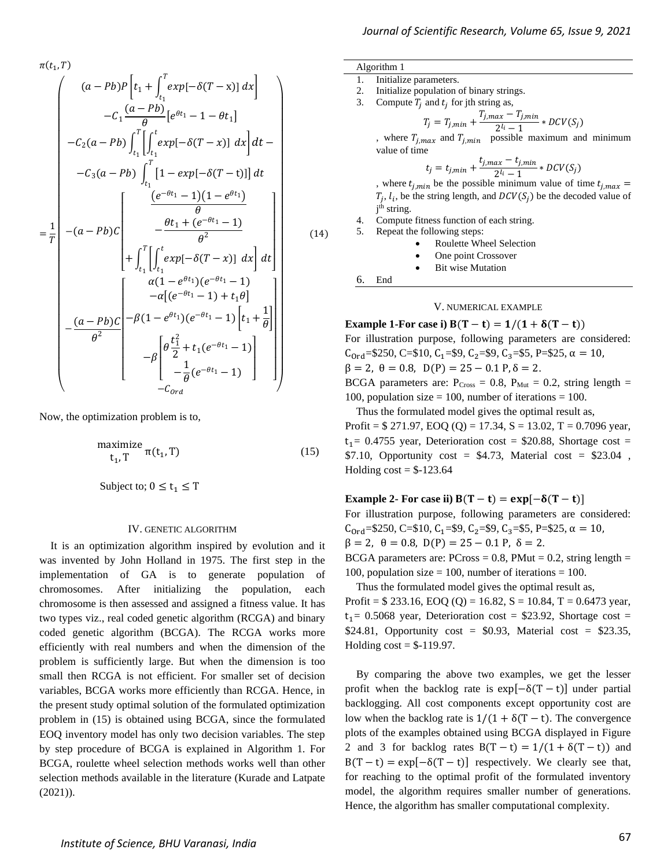$$
\begin{bmatrix}\n-\frac{(a - Pb)C}{\theta^2} & -\beta(1 - e^{\theta \cdot t_1})(e^{-\theta \cdot t_1} - 1) \begin{bmatrix} t_1 + \overline{\theta} \end{bmatrix} \\
-\beta \begin{bmatrix} \theta \frac{t_1^2}{2} + t_1(e^{-\theta t_1} - 1) \\
-\frac{1}{\theta}(e^{-\theta t_1} - 1) \\
-c_{ord}\n\end{bmatrix}\n\end{bmatrix}
$$
\nNow, the optimization problem is to,  
\n
$$
\begin{aligned}\n\text{maximize} & \quad t_1, T \quad \pi(t_1, T) \\
\text{subject to; } 0 \le t_1 \le T\n\end{aligned}
$$
\n
$$
\text{IN. GENERTC ALGORITHM}
$$
\n
$$
\text{I: } \text{IN. GENERTC ALGORITHM}
$$

 $\int (a-Pb)P\bigg[t_1 + \int_{t_1}^T exp[-\delta(T-x)] dx\bigg]$  $t_1$ 

 $-C_2(a-Pb)\int^T\left[\int^t exp[-\delta(T-x)]\right]$  $t_1$ 

 $t_1$ 

 $t_1$ 

 $-C_3(a-Pb)\int_0^T [1-exp[-\delta(T-t)]] dt$ 

 $(e^{-\theta t_1}-1)(1-e^{\theta t_1})$  $\theta$  $-\frac{\theta t_1 + (e^{-\theta t_1}-1)}{2}$  $\theta^2$  $+\int^T\left[\int^t exp[-\delta(T-x)] dx\right]$ 

 $\alpha(1-e^{\theta t_1})(e^{-\theta t_1}-1)$  $-\alpha[(e^{-\theta t_1}-1)+t_1\theta]$ 

 $\int_0^T \left[ \int_0^t exp[-\delta(T-x)] dx \right] dt$  $t_1 \cup t_1$  if  $\{t_1, t_2, \ldots, t_n\}$ 

 $\frac{1}{\theta} \left[ e^{\theta t_1} - 1 - \theta t_1 \right]$ 

 $-C_1 \frac{(a - Pb)}{q}$ 

 $t_1$ 

 $\overline{a}$ I I I I I I

ł

 $\pi(t_{1}, T)$ 

 $=\frac{1}{\pi}$  $\overline{T}$ 

 $-(a-Pb)C$ 

L L L L L L L L L Ł L L Ł L L L L L L Ł

(2021)).

It is an optimization algorithm inspired by evolution and it was invented by John Holland in 1975. The first step in the implementation of GA is to generate population of chromosomes. After initializing the population, each chromosome is then assessed and assigned a fitness value. It has two types viz., real coded genetic algorithm (RCGA) and binary coded genetic algorithm (BCGA). The RCGA works more efficiently with real numbers and when the dimension of the problem is sufficiently large. But when the dimension is too small then RCGA is not efficient. For smaller set of decision variables, BCGA works more efficiently than RCGA. Hence, in the present study optimal solution of the formulated optimization problem in (15) is obtained using BCGA, since the formulated EOQ inventory model has only two decision variables. The step by step procedure of BCGA is explained in Algorithm 1. For

BCGA, roulette wheel selection methods works well than other selection methods available in the literature (Kurade and Latpate

ł ł  $-\beta(1-e^{\theta t_1})(e^{-\theta t_1}-1)\Big|_{t_1}+\frac{1}{\theta}$  $\frac{1}{\theta}$ I I - I  $\overline{\phantom{a}}$ - I

]

-1

I I I I I I I

(14)

I I - I  $\overline{\phantom{a}}$ - I  $\overline{\phantom{a}}$ - I  $\overline{\phantom{a}}$ - I  $\overline{\phantom{a}}$  $\overline{\phantom{a}}$ - I  $\overline{\phantom{a}}$ 

 $\int_0^T \left[ \int_0^t exp[-\delta(T-x)] dx \right] dt -$ - I - I  $\overline{\phantom{a}}$ - I  $\overline{\phantom{a}}$ - I - I 3. Compute  $T_j$  and  $t_j$  for jth string as,  $T_j = T_{j,min} + \frac{T_{j,max} - T_{j,min}}{2l_i - 1}$ , where  $T_{j,max}$  and  $T_{j,min}$  possible maximum and minimum value of time  $t_j = t_{j,min} + \frac{t_{j,max} - t_{j,min}}{2^{l_i} - 1}$ 

Algorithm 1

1. Initialize parameters.

 $\frac{ax^2-3, min}{2^l-1} * DCV(S_j)$ , where  $t_{j,min}$  be the possible minimum value of time  $t_{j,max}$  =  $T_j$ ,  $l_i$ , be the string length, and  $DCV(S_j)$  be the decoded value of j<sup>th</sup> string.

 $\frac{ax}{2^{l_i}-1}$  \* DCV(S<sub>j</sub>)

4. Compute fitness function of each string. 5. Repeat the following steps:

2. Initialize population of binary strings.

- Roulette Wheel Selection
- One point Crossover
- **Bit wise Mutation**

6. End

### V. NUMERICAL EXAMPLE

**Example 1-For case i)**  $B(T - t) = 1/(1 + \delta(T - t))$ For illustration purpose, following parameters are considered:  $C_{ord}$ =\$250, C=\$10,  $C_1$ =\$9,  $C_2$ =\$9,  $C_3$ =\$5, P=\$25,  $\alpha = 10$ ,  $\beta = 2$ ,  $\theta = 0.8$ ,  $D(P) = 25 - 0.1 P$ ,  $\delta = 2$ . BCGA parameters are:  $P_{Cross} = 0.8$ ,  $P_{Mut} = 0.2$ , string length = 100, population size  $= 100$ , number of iterations  $= 100$ .

Thus the formulated model gives the optimal result as,

Profit =  $$ 271.97, EOQ (Q) = 17.34, S = 13.02, T = 0.7096$  year,  $t_1$  = 0.4755 year, Deterioration cost = \$20.88, Shortage cost = \$7.10, Opportunity cost = \$4.73, Material cost = \$23.04, Holding  $cost = $-123.64$ 

## **Example 2-** For case ii)  $B(T - t) = exp[-\delta(T - t)]$

For illustration purpose, following parameters are considered:  $C_{\text{Ord}}$ =\$250, C=\$10,  $C_1$ =\$9,  $C_2$ =\$9,  $C_3$ =\$5, P=\$25,  $\alpha = 10$ ,  $\beta = 2$ ,  $\theta = 0.8$ ,  $D(P) = 25 - 0.1$  P,  $\delta = 2$ . BCGA parameters are:  $PCross = 0.8$ ,  $PMut = 0.2$ , string length = 100, population size  $= 100$ , number of iterations  $= 100$ .

Thus the formulated model gives the optimal result as, Profit =  $$ 233.16, \, EOQ (Q) = 16.82, \, S = 10.84, \, T = 0.6473 \, \text{year},$  $t_1$  = 0.5068 year, Deterioration cost = \$23.92, Shortage cost = \$24.81, Opportunity cost = \$0.93, Material cost = \$23.35, Holding  $cost = $-119.97$ .

By comparing the above two examples, we get the lesser profit when the backlog rate is  $exp[-\delta(T - t)]$  under partial backlogging. All cost components except opportunity cost are low when the backlog rate is  $1/(1 + \delta(T - t))$ . The convergence plots of the examples obtained using BCGA displayed in Figure 2 and 3 for backlog rates  $B(T - t) = 1/(1 + \delta(T - t))$  and  $B(T - t) = \exp[-\delta(T - t)]$  respectively. We clearly see that, for reaching to the optimal profit of the formulated inventory model, the algorithm requires smaller number of generations. Hence, the algorithm has smaller computational complexity.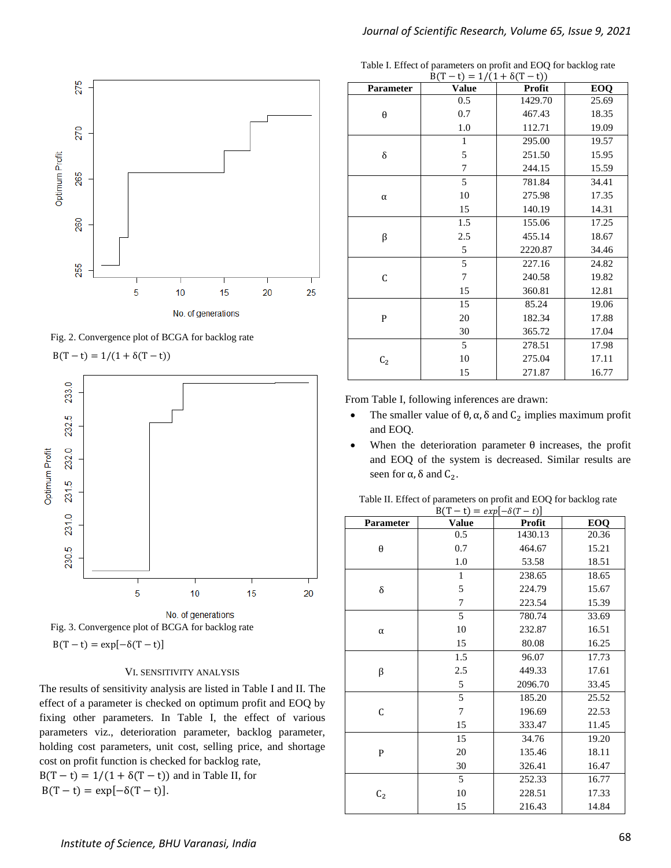





$$
B(T - t) = 1/(1 + \delta(T - t))
$$





## VI. SENSITIVITY ANALYSIS

The results of sensitivity analysis are listed in Table I and II. The effect of a parameter is checked on optimum profit and EOQ by fixing other parameters. In Table I, the effect of various parameters viz., deterioration parameter, backlog parameter, holding cost parameters, unit cost, selling price, and shortage cost on profit function is checked for backlog rate,  $B(T - t) = 1/(1 + \delta(T - t))$  and in Table II, for

 $B(T - t) = \exp[-\delta(T - t)].$ 

Table I. Effect of parameters on profit and EOQ for backlog rate

| $B(T - t) = 1/(1 + \delta(T - t))$ |              |         |       |  |  |  |
|------------------------------------|--------------|---------|-------|--|--|--|
| Parameter                          | <b>Value</b> | Profit  | EOQ   |  |  |  |
| θ                                  | 0.5          | 1429.70 | 25.69 |  |  |  |
|                                    | 0.7          | 467.43  | 18.35 |  |  |  |
|                                    | 1.0          | 112.71  | 19.09 |  |  |  |
|                                    | 1            | 295.00  | 19.57 |  |  |  |
| δ                                  | 5            | 251.50  | 15.95 |  |  |  |
|                                    | 7            | 244.15  | 15.59 |  |  |  |
| $\alpha$                           | 5            | 781.84  | 34.41 |  |  |  |
|                                    | 10           | 275.98  | 17.35 |  |  |  |
|                                    | 15           | 140.19  | 14.31 |  |  |  |
| β                                  | 1.5          | 155.06  | 17.25 |  |  |  |
|                                    | 2.5          | 455.14  | 18.67 |  |  |  |
|                                    | 5            | 2220.87 | 34.46 |  |  |  |
| C                                  | 5            | 227.16  | 24.82 |  |  |  |
|                                    | 7            | 240.58  | 19.82 |  |  |  |
|                                    | 15           | 360.81  | 12.81 |  |  |  |
| P                                  | 15           | 85.24   | 19.06 |  |  |  |
|                                    | 20           | 182.34  | 17.88 |  |  |  |
|                                    | 30           | 365.72  | 17.04 |  |  |  |
| C <sub>2</sub>                     | 5            | 278.51  | 17.98 |  |  |  |
|                                    | 10           | 275.04  | 17.11 |  |  |  |
|                                    | 15           | 271.87  | 16.77 |  |  |  |

From Table I, following inferences are drawn:

- The smaller value of  $\theta$ ,  $\alpha$ ,  $\delta$  and  $C_2$  implies maximum profit and EOQ.
- When the deterioration parameter  $\theta$  increases, the profit and EOQ of the system is decreased. Similar results are seen for  $\alpha$ , δ and  $C_2$ .

| Table II. Effect of parameters on profit and EOQ for backlog rate |                                |  |  |
|-------------------------------------------------------------------|--------------------------------|--|--|
|                                                                   | ו∖ ה <i>א</i> ם Γ השירת הדי∕ות |  |  |

| $B(T - t) = exp[-\delta(T - t)]$ |              |         |       |  |  |  |  |
|----------------------------------|--------------|---------|-------|--|--|--|--|
| <b>Parameter</b>                 | <b>Value</b> | Profit  | EOQ   |  |  |  |  |
| $\theta$                         | 0.5          | 1430.13 | 20.36 |  |  |  |  |
|                                  | 0.7          | 464.67  | 15.21 |  |  |  |  |
|                                  | 1.0          | 53.58   | 18.51 |  |  |  |  |
| δ                                | 1            | 238.65  | 18.65 |  |  |  |  |
|                                  | 5            | 224.79  | 15.67 |  |  |  |  |
|                                  | 7            | 223.54  | 15.39 |  |  |  |  |
|                                  | 5            | 780.74  | 33.69 |  |  |  |  |
| $\alpha$                         | 10           | 232.87  | 16.51 |  |  |  |  |
|                                  | 15           | 80.08   | 16.25 |  |  |  |  |
| β                                | 1.5          | 96.07   | 17.73 |  |  |  |  |
|                                  | 2.5          | 449.33  | 17.61 |  |  |  |  |
|                                  | 5            | 2096.70 | 33.45 |  |  |  |  |
| C                                | 5            | 185.20  | 25.52 |  |  |  |  |
|                                  | 7            | 196.69  | 22.53 |  |  |  |  |
|                                  | 15           | 333.47  | 11.45 |  |  |  |  |
| $\mathsf{P}$                     | 15           | 34.76   | 19.20 |  |  |  |  |
|                                  | 20           | 135.46  | 18.11 |  |  |  |  |
|                                  | 30           | 326.41  | 16.47 |  |  |  |  |
|                                  | 5            | 252.33  | 16.77 |  |  |  |  |
| $C_2$                            | 10           | 228.51  | 17.33 |  |  |  |  |
|                                  | 15           | 216.43  | 14.84 |  |  |  |  |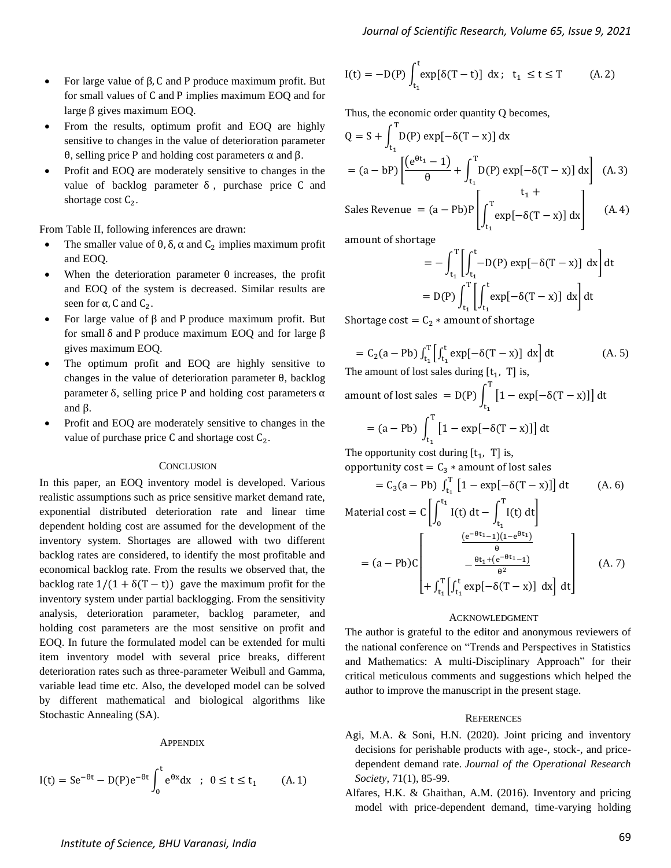- For large value of β, C and P produce maximum profit. But for small values of C and P implies maximum EOQ and for large β gives maximum EOQ.
- From the results, optimum profit and EOQ are highly sensitive to changes in the value of deterioration parameter θ, selling price P and holding cost parameters α and β.
- Profit and EOQ are moderately sensitive to changes in the value of backlog parameter  $\delta$ , purchase price C and shortage cost  $C_2$ .

From Table II, following inferences are drawn:

- The smaller value of  $\theta$ ,  $\delta$ ,  $\alpha$  and  $C_2$  implies maximum profit and EOQ.
- When the deterioration parameter  $\theta$  increases, the profit and EOQ of the system is decreased. Similar results are seen for  $\alpha$ , C and  $C_2$ .
- For large value of β and P produce maximum profit. But for small δ and P produce maximum EOQ and for large β gives maximum EOQ.
- The optimum profit and EOQ are highly sensitive to changes in the value of deterioration parameter θ, backlog parameter δ, selling price P and holding cost parameters α and β.
- Profit and EOQ are moderately sensitive to changes in the value of purchase price  $C$  and shortage cost  $C_2$ .

#### **CONCLUSION**

In this paper, an EOQ inventory model is developed. Various realistic assumptions such as price sensitive market demand rate, exponential distributed deterioration rate and linear time dependent holding cost are assumed for the development of the inventory system. Shortages are allowed with two different backlog rates are considered, to identify the most profitable and economical backlog rate. From the results we observed that, the backlog rate  $1/(1 + \delta(T - t))$  gave the maximum profit for the inventory system under partial backlogging. From the sensitivity analysis, deterioration parameter, backlog parameter, and holding cost parameters are the most sensitive on profit and EOQ. In future the formulated model can be extended for multi item inventory model with several price breaks, different deterioration rates such as three-parameter Weibull and Gamma, variable lead time etc. Also, the developed model can be solved by different mathematical and biological algorithms like Stochastic Annealing (SA).

#### **APPENDIX**

$$
I(t) = Se^{-\theta t} - D(P)e^{-\theta t} \int_0^t e^{\theta x} dx \; ; \; 0 \le t \le t_1 \qquad (A.1)
$$

$$
I(t) = -D(P) \int_{t_1}^t \exp[\delta(T - t)] dx; \quad t_1 \le t \le T \tag{A.2}
$$

Thus, the economic order quantity Q becomes,

$$
Q = S + \int_{t_1}^{T} D(P) \exp[-\delta(T - x)] dx
$$
  
=  $(a - bP) \left[ \frac{(e^{\theta t_1} - 1)}{\theta} + \int_{t_1}^{T} D(P) \exp[-\delta(T - x)] dx \right]$  (A. 3)  
Sales Revenue =  $(a - Pb)P \left[ \int_{t_1}^{T} \frac{t_1 + t_2}{\theta} \right]$  (A. 4)

Sales Revenue = 
$$
(a - Pb)P \left[ \int_{t_1}^{t} exp[-\delta(T - x)] dx \right]
$$
 (A. 4)

amount of shortage

$$
= -\int_{t_1}^{T} \left[ \int_{t_1}^{t} -D(P) \exp[-\delta(T - x)] dx \right] dt
$$

$$
= D(P) \int_{t_1}^{T} \left[ \int_{t_1}^{t} \exp[-\delta(T - x)] dx \right] dt
$$

Shortage cost =  $C_2$  \* amount of shortage

$$
= C_2(a - Pb) \int_{t_1}^{T} \left[ \int_{t_1}^{t} \exp[-\delta(T - x)] dx \right] dx
$$
 (A. 5)

The amount of lost sales during 
$$
[t_1, T]
$$
 is,  
amount of lost sales = D(P)  $\int_{t_1}^{T} [1 - \exp[-\delta(T - x)]] dt$   
= (a - Pb)  $\int_{t_1}^{T} [1 - \exp[-\delta(T - x)]] dt$ 

The opportunity cost during  $[t_1, T]$  is, opportunity cost =  $C_3 *$  amount of lost sales

$$
= C_3(a - Pb) \int_{t_1}^{T} \left[1 - \exp[-\delta(T - x)]\right] dt \qquad (A. 6)
$$
  
Material cost =  $C \left[ \int_0^{t_1} I(t) dt - \int_{t_1}^{T} I(t) dt \right]$ 

$$
= (a - Pb)C \begin{bmatrix} \theta \\ -\frac{\theta t_1 + (e^{-\theta t_1} - 1)}{\theta^2} \\ + \int_{t_1}^T \left[ \int_{t_1}^t \exp[-\delta(T - x)] \, dx \right] dt \end{bmatrix}
$$
 (A. 7)

#### ACKNOWLEDGMENT

The author is grateful to the editor and anonymous reviewers of the national conference on "Trends and Perspectives in Statistics and Mathematics: A multi-Disciplinary Approach" for their critical meticulous comments and suggestions which helped the author to improve the manuscript in the present stage.

#### **REFERENCES**

- Agi, M.A. & Soni, H.N. (2020). Joint pricing and inventory decisions for perishable products with age-, stock-, and pricedependent demand rate. *Journal of the Operational Research Society*, 71(1), 85-99.
- Alfares, H.K. & Ghaithan, A.M. (2016). Inventory and pricing model with price-dependent demand, time-varying holding